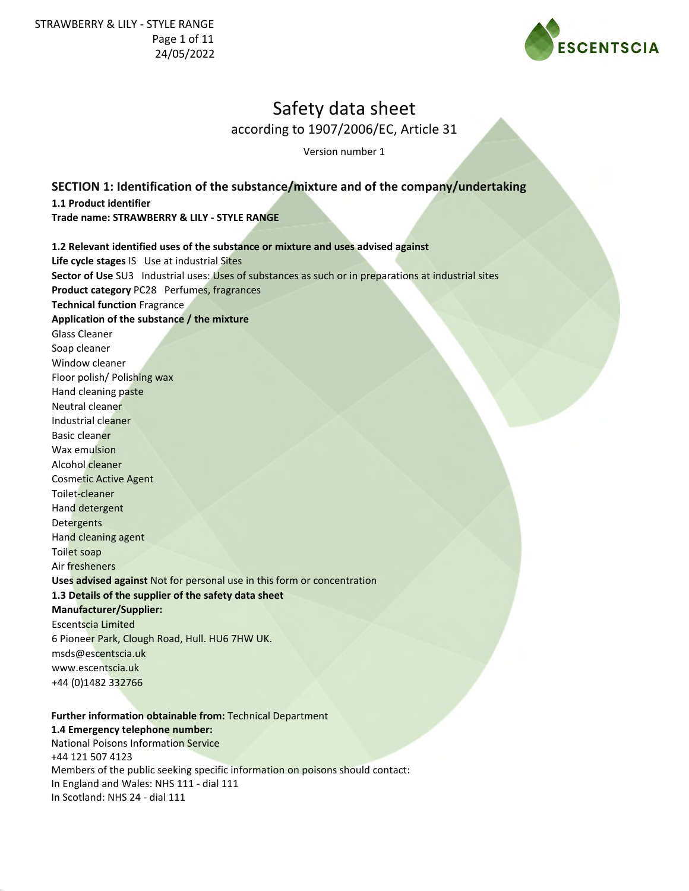

according to 1907/2006/EC, Article 31

Version number 1

# **SECTION 1: Identification of the substance/mixture and of the company/undertaking**

**1.1 Product identifier**

**Trade name: STRAWBERRY & LILY - STYLE RANGE**

# **1.2 Relevant identified uses of the substance or mixture and uses advised against Life cycle stages** IS Use at industrial Sites **Sector of Use** SU3 Industrial uses: Uses of substances as such or in preparations at industrial sites **Product category** PC28 Perfumes, fragrances **Technical function** Fragrance **Application of the substance / the mixture** Glass Cleaner Soap cleaner Window cleaner Floor polish/ Polishing wax Hand cleaning paste Neutral cleaner Industrial cleaner Basic cleaner Wax emulsion Alcohol cleaner Cosmetic Active Agent Toilet-cleaner Hand detergent **Detergents** Hand cleaning agent Toilet soap Air fresheners **Uses advised against** Not for personal use in this form or concentration **1.3 Details of the supplier of the safety data sheet Manufacturer/Supplier:** Escentscia Limited 6 Pioneer Park, Clough Road, Hull. HU6 7HW UK. msds@escentscia.uk www.escentscia.uk +44 (0)1482 332766

### **Further information obtainable from:** Technical Department **1.4 Emergency telephone number:** National Poisons Information Service +44 121 507 4123 Members of the public seeking specific information on poisons should contact: In England and Wales: NHS 111 - dial 111 In Scotland: NHS 24 - dial 111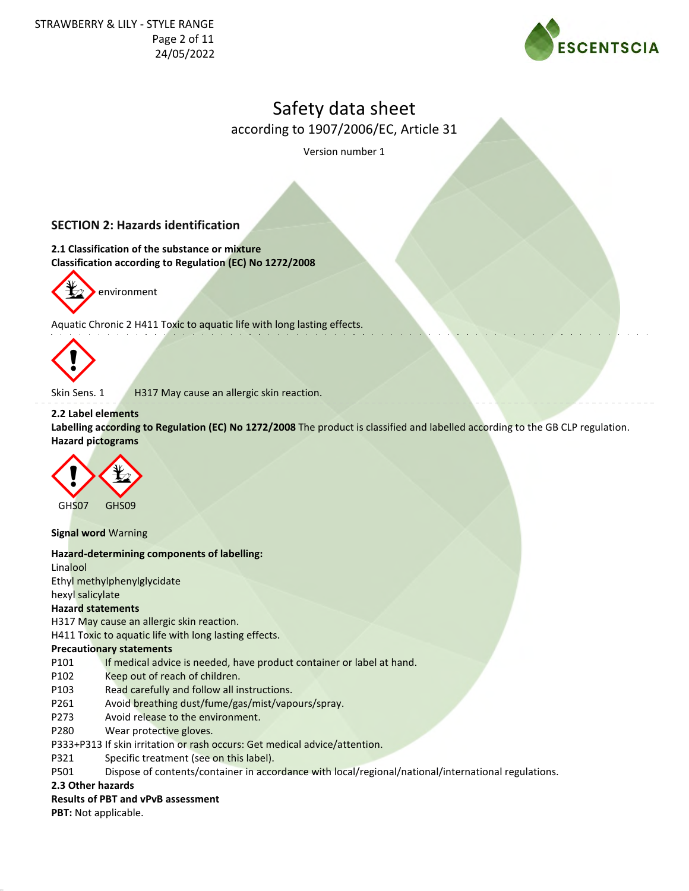

according to 1907/2006/EC, Article 31

Version number 1

# **SECTION 2: Hazards identification**

**2.1 Classification of the substance or mixture Classification according to Regulation (EC) No 1272/2008**



environment

Aquatic Chronic 2 H411 Toxic to aquatic life with long lasting effects.



Skin Sens. 1 H317 May cause an allergic skin reaction.

# **2.2 Label elements**

**Labelling according to Regulation (EC) No 1272/2008** The product is classified and labelled according to the GB CLP regulation. **Hazard pictograms**



**Signal word** Warning

### **Hazard-determining components of labelling:**

Linalool Ethyl methylphenylglycidate hexyl salicylate

### **Hazard statements**

H317 May cause an allergic skin reaction.

H411 Toxic to aquatic life with long lasting effects.

### **Precautionary statements**

P101 If medical advice is needed, have product container or label at hand.

- P102 Keep out of reach of children.
- P103 Read carefully and follow all instructions.
- P261 Avoid breathing dust/fume/gas/mist/vapours/spray.
- P273 Avoid release to the environment.
- P280 Wear protective gloves.

P333+P313 If skin irritation or rash occurs: Get medical advice/attention.

- P321 Specific treatment (see on this label).
- P501 Dispose of contents/container in accordance with local/regional/national/international regulations.

# **2.3 Other hazards**

### **Results of PBT and vPvB assessment**

**PBT:** Not applicable.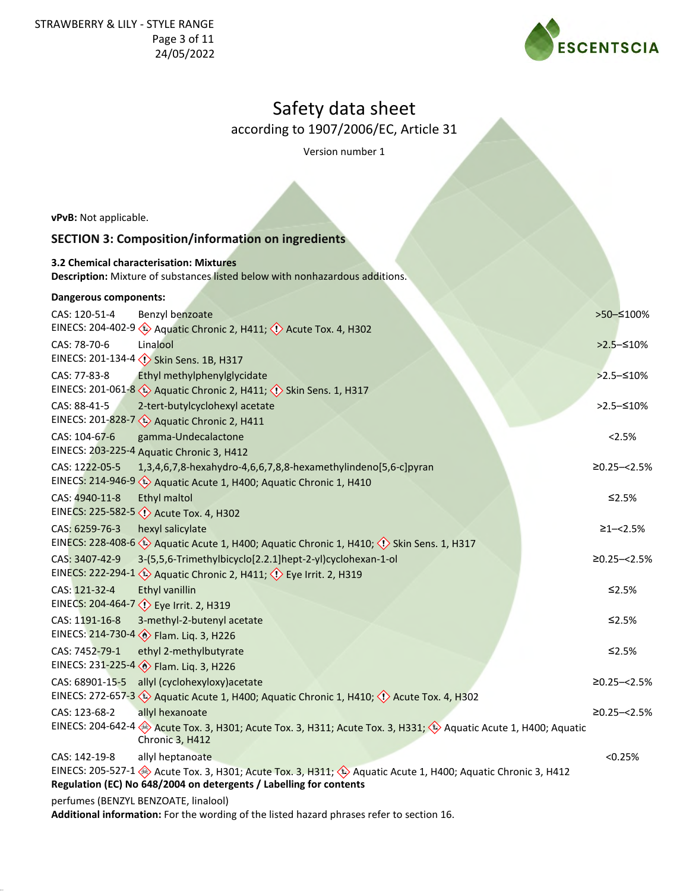STRAWBERRY & LILY - STYLE RANGE Page 3 of 11 24/05/2022



# Safety data sheet

according to 1907/2006/EC, Article 31

Version number 1

**vPvB:** Not applicable.

# **SECTION 3: Composition/information on ingredients**

**3.2 Chemical characterisation: Mixtures Description:** Mixture of substances listed below with nonhazardous additions.

# **Dangerous components:**

| CAS: 120-51-4     | Benzyl benzoate                                                                                                              | >50-≤100%        |
|-------------------|------------------------------------------------------------------------------------------------------------------------------|------------------|
|                   | EINECS: 204-402-9 (2) Aquatic Chronic 2, H411; (1) Acute Tox. 4, H302                                                        |                  |
| CAS: 78-70-6      | Linalool                                                                                                                     | $>2.5 - 510%$    |
|                   | EINECS: 201-134-4 <>> <>> Skin Sens. 1B, H317                                                                                |                  |
| CAS: 77-83-8      | Ethyl methylphenylglycidate                                                                                                  | $>2.5 - 510%$    |
|                   | EINECS: 201-061-8 $\leftrightarrow$ Aquatic Chronic 2, H411; $\leftrightarrow$ Skin Sens. 1, H317                            |                  |
| CAS: 88-41-5      | 2-tert-butylcyclohexyl acetate                                                                                               | $>2.5 - 510%$    |
|                   | EINECS: 201-828-7 4 Aquatic Chronic 2, H411                                                                                  |                  |
| CAS: 104-67-6     | gamma-Undecalactone                                                                                                          | 2.5%             |
|                   | EINECS: 203-225-4 Aquatic Chronic 3, H412                                                                                    |                  |
| CAS: 1222-05-5    | 1,3,4,6,7,8-hexahydro-4,6,6,7,8,8-hexamethylindeno[5,6-c]pyran                                                               | $≥0.25 - < 2.5%$ |
| EINECS: 214-946-9 | Aquatic Acute 1, H400; Aquatic Chronic 1, H410                                                                               |                  |
| CAS: 4940-11-8    | <b>Ethyl maltol</b>                                                                                                          | $≤2.5%$          |
|                   | EINECS: 225-582-5 <>> Acute Tox. 4, H302                                                                                     |                  |
| CAS: 6259-76-3    | hexyl salicylate                                                                                                             | $≥1 - < 2.5%$    |
|                   | EINECS: 228-408-6 $\leftrightarrow$ Aquatic Acute 1, H400; Aquatic Chronic 1, H410; $\Diamond$ Skin Sens. 1, H317            |                  |
| CAS: 3407-42-9    | 3-(5,5,6-Trimethylbicyclo[2.2.1]hept-2-yl)cyclohexan-1-ol                                                                    | $≥0.25 - < 2.5%$ |
|                   | EINECS: 222-294-1 (2) Aquatic Chronic 2, H411; (2) Eye Irrit. 2, H319                                                        |                  |
| CAS: 121-32-4     | Ethyl vanillin                                                                                                               | $≤2.5%$          |
|                   | EINECS: 204-464-7 <>>> Eye Irrit. 2, H319                                                                                    |                  |
| CAS: 1191-16-8    | 3-methyl-2-butenyl acetate                                                                                                   | $≤2.5%$          |
|                   | EINECS: 214-730-4 > Flam. Liq. 3, H226                                                                                       |                  |
| CAS: 7452-79-1    | ethyl 2-methylbutyrate                                                                                                       | $≤2.5%$          |
|                   | EINECS: 231-225-4 > Flam. Liq. 3, H226                                                                                       |                  |
| CAS: 68901-15-5   | allyl (cyclohexyloxy) acetate                                                                                                | $≥0.25 - < 2.5%$ |
|                   | EINECS: 272-657-3 $\leftrightarrow$ Aquatic Acute 1, H400; Aquatic Chronic 1, H410; $\leftrightarrow$ Acute Tox. 4, H302     |                  |
| CAS: 123-68-2     | allyl hexanoate                                                                                                              | $≥0.25 - < 2.5%$ |
|                   | EINECS: 204-642-4 Acute Tox. 3, H301; Acute Tox. 3, H311; Acute Tox. 3, H331; ♦ Aquatic Acute 1, H400; Aquatic               |                  |
|                   | Chronic 3, H412                                                                                                              |                  |
| CAS: 142-19-8     | allyl heptanoate                                                                                                             | < 0.25%          |
|                   | EINECS: 205-527-1 $\otimes$ Acute Tox. 3, H301; Acute Tox. 3, H311; $\otimes$ Aquatic Acute 1, H400; Aquatic Chronic 3, H412 |                  |
|                   | Regulation (EC) No 648/2004 on detergents / Labelling for contents                                                           |                  |
|                   | perfumes (BENZYL BENZOATE, linalool)                                                                                         |                  |

**Additional information:** For the wording of the listed hazard phrases refer to section 16.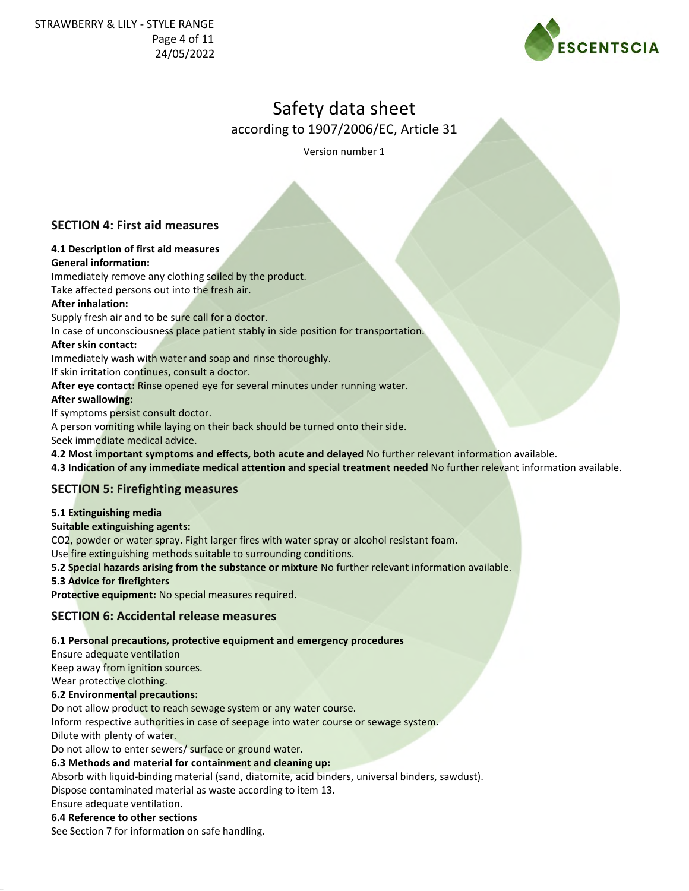

according to 1907/2006/EC, Article 31

Version number 1

# **SECTION 4: First aid measures**

# **4.1 Description of first aid measures General information:**

Immediately remove any clothing soiled by the product. Take affected persons out into the fresh air.

# **After inhalation:**

Supply fresh air and to be sure call for a doctor.

In case of unconsciousness place patient stably in side position for transportation.

# **After skin contact:**

Immediately wash with water and soap and rinse thoroughly.

If skin irritation continues, consult a doctor.

**After eye contact:** Rinse opened eye for several minutes under running water.

# **After swallowing:**

If symptoms persist consult doctor.

A person vomiting while laying on their back should be turned onto their side.

Seek immediate medical advice.

**4.2 Most important symptoms and effects, both acute and delayed** No further relevant information available.

**4.3 Indication of any immediate medical attention and special treatment needed** No further relevant information available.

# **SECTION 5: Firefighting measures**

### **5.1 Extinguishing media**

### **Suitable extinguishing agents:**

CO2, powder or water spray. Fight larger fires with water spray or alcohol resistant foam.

Use fire extinguishing methods suitable to surrounding conditions.

**5.2 Special hazards arising from the substance or mixture** No further relevant information available.

**5.3 Advice for firefighters**

**Protective equipment:** No special measures required.

# **SECTION 6: Accidental release measures**

# **6.1 Personal precautions, protective equipment and emergency procedures**

Ensure adequate ventilation

Keep away from ignition sources.

Wear protective clothing.

**6.2 Environmental precautions:**

Do not allow product to reach sewage system or any water course.

Inform respective authorities in case of seepage into water course or sewage system. Dilute with plenty of water.

Do not allow to enter sewers/ surface or ground water.

### **6.3 Methods and material for containment and cleaning up:**

Absorb with liquid-binding material (sand, diatomite, acid binders, universal binders, sawdust).

Dispose contaminated material as waste according to item 13.

Ensure adequate ventilation.

### **6.4 Reference to other sections**

See Section 7 for information on safe handling.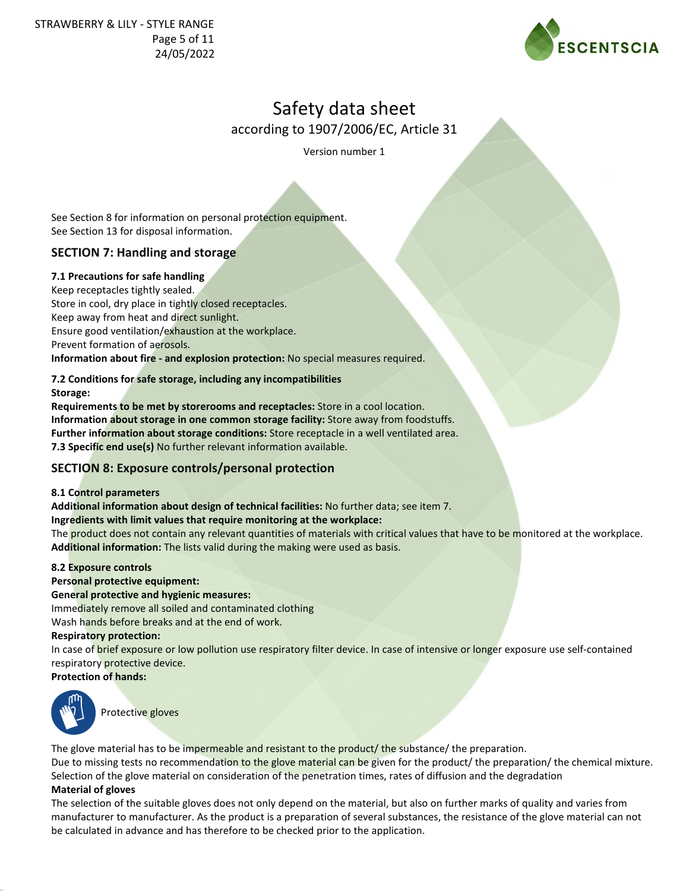STRAWBERRY & LILY - STYLE RANGE Page 5 of 11 24/05/2022



# Safety data sheet

according to 1907/2006/EC, Article 31

Version number 1

See Section 8 for information on personal protection equipment. See Section 13 for disposal information.

# **SECTION 7: Handling and storage**

# **7.1 Precautions for safe handling**

Keep receptacles tightly sealed. Store in cool, dry place in tightly closed receptacles. Keep away from heat and direct sunlight. Ensure good ventilation/exhaustion at the workplace. Prevent formation of aerosols. **Information about fire - and explosion protection:** No special measures required.

**7.2 Conditions for safe storage, including any incompatibilities Storage:**

**Requirements to be met by storerooms and receptacles:** Store in a cool location. **Information about storage in one common storage facility:** Store away from foodstuffs. **Further information about storage conditions:** Store receptacle in a well ventilated area. **7.3 Specific end use(s)** No further relevant information available.

# **SECTION 8: Exposure controls/personal protection**

### **8.1 Control parameters**

**Additional information about design of technical facilities:** No further data; see item 7. **Ingredients with limit values that require monitoring at the workplace:**

The product does not contain any relevant quantities of materials with critical values that have to be monitored at the workplace. **Additional information:** The lists valid during the making were used as basis.

### **8.2 Exposure controls**

### **Personal protective equipment:**

### **General protective and hygienic measures:**

Immediately remove all soiled and contaminated clothing

Wash hands before breaks and at the end of work.

#### **Respiratory protection:**

In case of brief exposure or low pollution use respiratory filter device. In case of intensive or longer exposure use self-contained respiratory protective device.

### **Protection of hands:**



Protective gloves

The glove material has to be impermeable and resistant to the product/ the substance/ the preparation. Due to missing tests no recommendation to the glove material can be given for the product/ the preparation/ the chemical mixture. Selection of the glove material on consideration of the penetration times, rates of diffusion and the degradation

### **Material of gloves**

The selection of the suitable gloves does not only depend on the material, but also on further marks of quality and varies from manufacturer to manufacturer. As the product is a preparation of several substances, the resistance of the glove material can not be calculated in advance and has therefore to be checked prior to the application.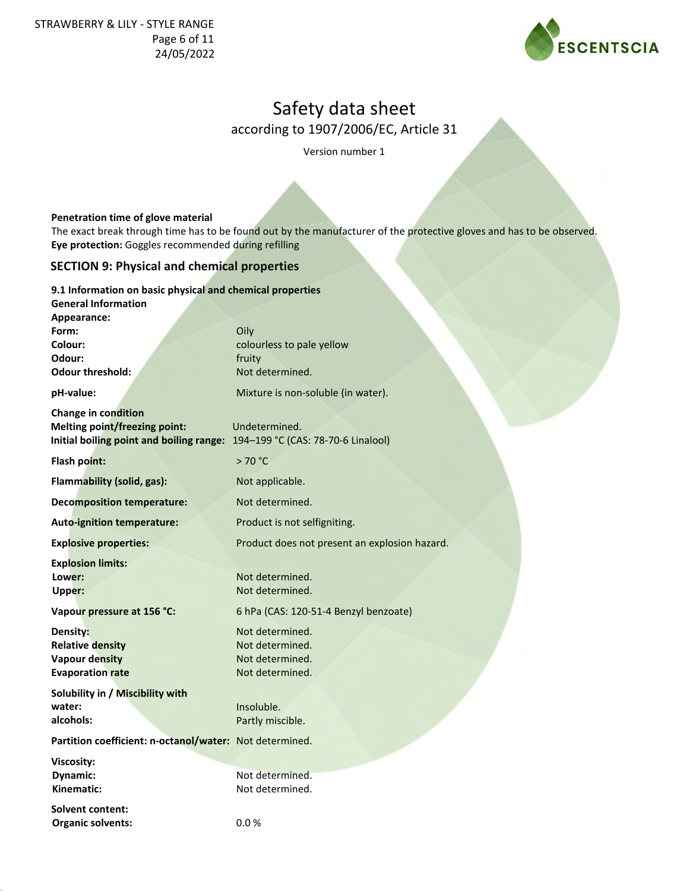STRAWBERRY & LILY - STYLE RANGE Page 6 of 11 24/05/2022



# Safety data sheet

according to 1907/2006/EC, Article 31

Version number 1

### **Penetration time of glove material**

The exact break through time has to be found out by the manufacturer of the protective gloves and has to be observed. **Eye protection:** Goggles recommended during refilling

# **SECTION 9: Physical and chemical properties**

#### **9.1 Information on basic physical and chemical properties**

| <b>General Information</b>                                                                                                                 |                                               |
|--------------------------------------------------------------------------------------------------------------------------------------------|-----------------------------------------------|
| Appearance:<br>Form:                                                                                                                       | Oily                                          |
| Colour:                                                                                                                                    | colourless to pale yellow                     |
| Odour:                                                                                                                                     | fruity                                        |
| <b>Odour threshold:</b>                                                                                                                    | Not determined.                               |
| pH-value:                                                                                                                                  | Mixture is non-soluble (in water).            |
| Change in condition<br><b>Melting point/freezing point:</b><br>Initial boiling point and boiling range: 194-199 °C (CAS: 78-70-6 Linalool) | Undetermined.                                 |
|                                                                                                                                            |                                               |
| Flash point:                                                                                                                               | >70 °C                                        |
| Flammability (solid, gas):                                                                                                                 | Not applicable.                               |
| <b>Decomposition temperature:</b>                                                                                                          | Not determined.                               |
| <b>Auto-ignition temperature:</b>                                                                                                          | Product is not selfigniting.                  |
| <b>Explosive properties:</b>                                                                                                               | Product does not present an explosion hazard. |
| <b>Explosion limits:</b>                                                                                                                   |                                               |
| Lower:<br>Upper:                                                                                                                           | Not determined.<br>Not determined.            |
| Vapour pressure at 156 °C:                                                                                                                 | 6 hPa (CAS: 120-51-4 Benzyl benzoate)         |
| Density:                                                                                                                                   | Not determined.                               |
| <b>Relative density</b>                                                                                                                    | Not determined.                               |
| <b>Vapour density</b>                                                                                                                      | Not determined.                               |
| <b>Evaporation rate</b>                                                                                                                    | Not determined.                               |
| Solubility in / Miscibility with                                                                                                           |                                               |
| water:                                                                                                                                     | Insoluble.                                    |
| alcohols:                                                                                                                                  | Partly miscible.                              |
| Partition coefficient: n-octanol/water: Not determined.                                                                                    |                                               |
| Viscosity:                                                                                                                                 |                                               |
| Dynamic:                                                                                                                                   | Not determined.                               |
| Kinematic:                                                                                                                                 | Not determined.                               |
| Solvent content:                                                                                                                           |                                               |
| <b>Organic solvents:</b>                                                                                                                   | 0.0%                                          |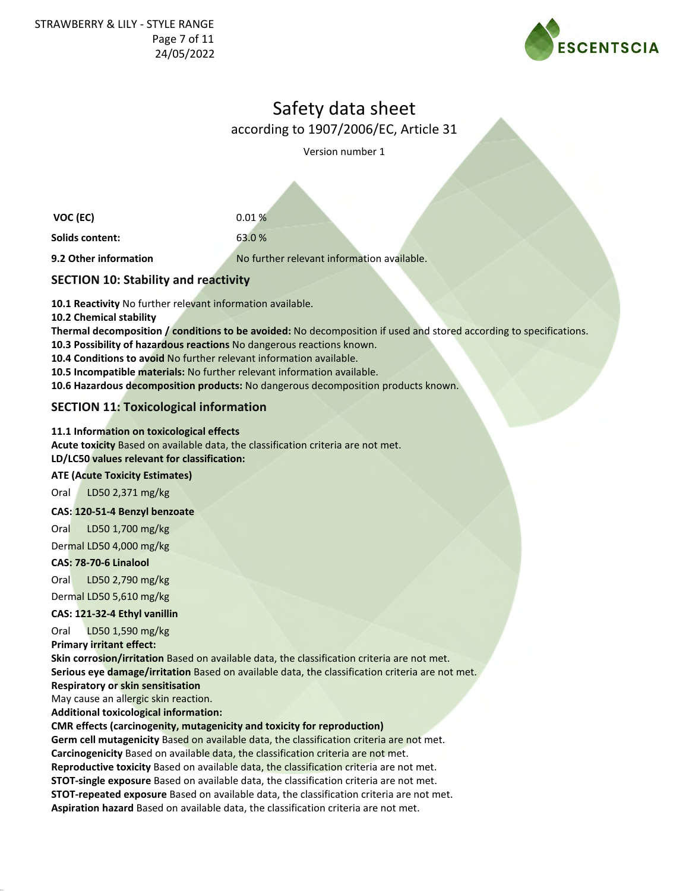

according to 1907/2006/EC, Article 31

Version number 1

**VOC (EC)** 0.01 % **Solids content:** 63.0 % **9.2 Other information** No further relevant information available.

# **SECTION 10: Stability and reactivity**

**10.1 Reactivity** No further relevant information available.

**10.2 Chemical stability**

**Thermal decomposition / conditions to be avoided:** No decomposition if used and stored according to specifications.

**10.3 Possibility of hazardous reactions** No dangerous reactions known.

**10.4 Conditions to avoid** No further relevant information available.

**10.5 Incompatible materials:** No further relevant information available.

**10.6 Hazardous decomposition products:** No dangerous decomposition products known.

# **SECTION 11: Toxicological information**

# **11.1 Information on toxicological effects**

**Acute toxicity** Based on available data, the classification criteria are not met.

**LD/LC50 values relevant for classification:**

# **ATE (Acute Toxicity Estimates)**

Oral LD50 2,371 mg/kg

### **CAS: 120-51-4 Benzyl benzoate**

Oral LD50 1,700 mg/kg

Dermal LD50 4,000 mg/kg

# **CAS: 78-70-6 Linalool**

Oral LD50 2,790 mg/kg Dermal LD50 5,610 mg/kg

# **CAS: 121-32-4 Ethyl vanillin**

Oral LD50 1,590 mg/kg

**Primary irritant effect:**

**Skin corrosion/irritation** Based on available data, the classification criteria are not met. **Serious eye damage/irritation** Based on available data, the classification criteria are not met.

# **Respiratory or skin sensitisation**

May cause an allergic skin reaction.

**Additional toxicological information:**

### **CMR effects (carcinogenity, mutagenicity and toxicity for reproduction)**

**Germ cell mutagenicity** Based on available data, the classification criteria are not met. **Carcinogenicity** Based on available data, the classification criteria are not met. **Reproductive toxicity** Based on available data, the classification criteria are not met. **STOT-single exposure** Based on available data, the classification criteria are not met.

**STOT-repeated exposure** Based on available data, the classification criteria are not met.

**Aspiration hazard** Based on available data, the classification criteria are not met.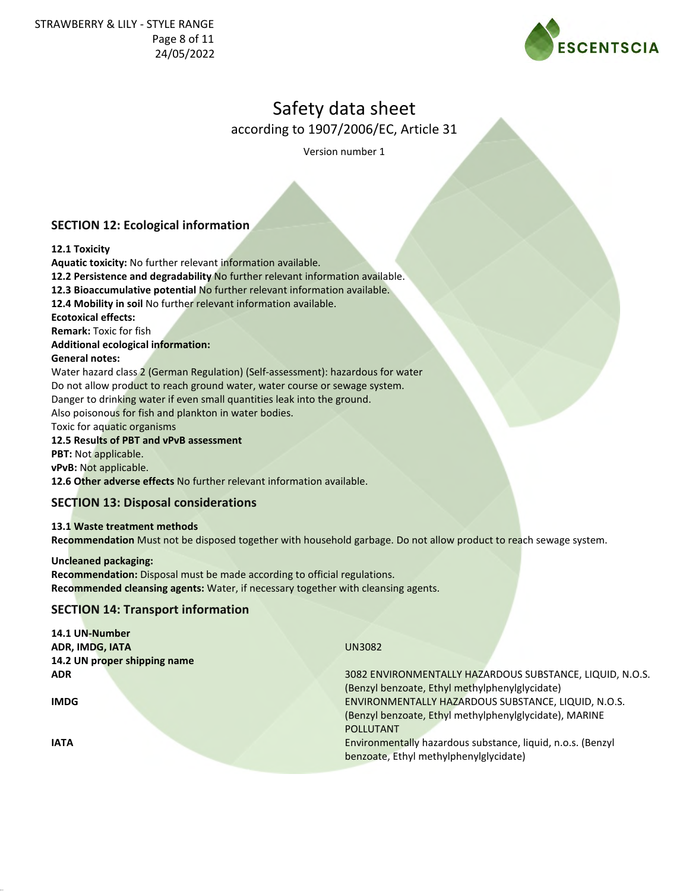

according to 1907/2006/EC, Article 31

Version number 1

# **SECTION 12: Ecological information**

# **12.1 Toxicity**

**Aquatic toxicity:** No further relevant information available.

**12.2 Persistence and degradability** No further relevant information available.

**12.3 Bioaccumulative potential** No further relevant information available.

**12.4 Mobility in soil** No further relevant information available.

**Ecotoxical effects:**

**Remark:** Toxic for fish

### **Additional ecological information:**

### **General notes:**

Water hazard class 2 (German Regulation) (Self-assessment): hazardous for water Do not allow product to reach ground water, water course or sewage system. Danger to drinking water if even small quantities leak into the ground. Also poisonous for fish and plankton in water bodies.

Toxic for aquatic organisms

# **12.5 Results of PBT and vPvB assessment**

**PBT:** Not applicable.

**vPvB:** Not applicable.

**12.6 Other adverse effects** No further relevant information available.

# **SECTION 13: Disposal considerations**

**13.1 Waste treatment methods Recommendation** Must not be disposed together with household garbage. Do not allow product to reach sewage system.

**Uncleaned packaging: Recommendation:** Disposal must be made according to official regulations. **Recommended cleansing agents:** Water, if necessary together with cleansing agents.

# **SECTION 14: Transport information**

| 14.1 UN-Number               |                                                             |
|------------------------------|-------------------------------------------------------------|
| ADR, IMDG, IATA              | <b>UN3082</b>                                               |
| 14.2 UN proper shipping name |                                                             |
| <b>ADR</b>                   | 3082 ENVIRONMENTALLY HAZARDOUS SUBSTANCE, LIQUID, N.O.S.    |
|                              | (Benzyl benzoate, Ethyl methylphenylglycidate)              |
| <b>IMDG</b>                  | ENVIRONMENTALLY HAZARDOUS SUBSTANCE, LIQUID, N.O.S.         |
|                              | (Benzyl benzoate, Ethyl methylphenylglycidate), MARINE      |
|                              | <b>POLLUTANT</b>                                            |
| <b>IATA</b>                  | Environmentally hazardous substance, liquid, n.o.s. (Benzyl |
|                              | benzoate, Ethyl methylphenylglycidate)                      |
|                              |                                                             |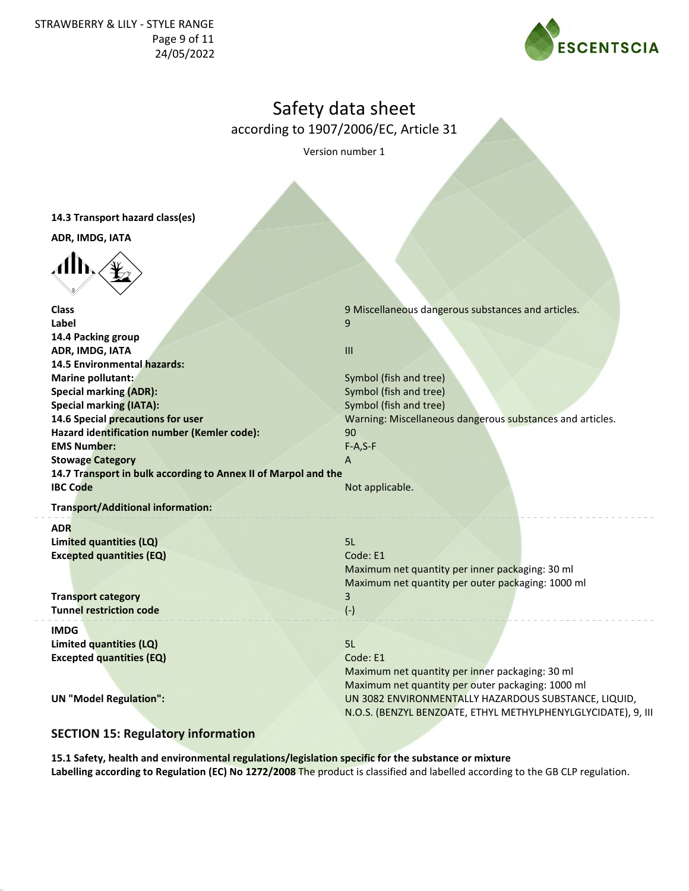STRAWBERRY & LILY - STYLE RANGE Page 9 of 11 24/05/2022



# Safety data sheet

according to 1907/2006/EC, Article 31

Version number 1

|  | 14.3 Transport hazard class(es) |  |  |  |  |
|--|---------------------------------|--|--|--|--|
|--|---------------------------------|--|--|--|--|

**ADR, IMDG, IATA**



| <b>Class</b>                                                   | 9 Miscellaneous dangerous substances and articles.            |
|----------------------------------------------------------------|---------------------------------------------------------------|
| Label                                                          | 9                                                             |
| 14.4 Packing group                                             |                                                               |
| ADR, IMDG, IATA                                                | $\mathbf{H}$                                                  |
| 14.5 Environmental hazards:                                    |                                                               |
| Marine pollutant:                                              | Symbol (fish and tree)                                        |
| <b>Special marking (ADR):</b>                                  | Symbol (fish and tree)                                        |
| <b>Special marking (IATA):</b>                                 | Symbol (fish and tree)                                        |
| 14.6 Special precautions for user                              | Warning: Miscellaneous dangerous substances and articles.     |
| Hazard identification number (Kemler code):                    | 90                                                            |
| <b>EMS Number:</b>                                             | $F-A, S-F$                                                    |
| <b>Stowage Category</b>                                        | $\overline{A}$                                                |
| 14.7 Transport in bulk according to Annex II of Marpol and the |                                                               |
| <b>IBC Code</b>                                                | Not applicable.                                               |
| <b>Transport/Additional information:</b>                       |                                                               |
| <b>ADR</b>                                                     |                                                               |
| Limited quantities (LQ)                                        | 5L                                                            |
| <b>Excepted quantities (EQ)</b>                                | Code: E1                                                      |
|                                                                | Maximum net quantity per inner packaging: 30 ml               |
|                                                                | Maximum net quantity per outer packaging: 1000 ml             |
| <b>Transport category</b>                                      | 3                                                             |
| <b>Tunnel restriction code</b>                                 | $(-)$                                                         |
| <b>IMDG</b>                                                    |                                                               |
| Limited quantities (LQ)                                        | 5L                                                            |
| <b>Excepted quantities (EQ)</b>                                | Code: E1                                                      |
|                                                                | Maximum net quantity per inner packaging: 30 ml               |
|                                                                | Maximum net quantity per outer packaging: 1000 ml             |
| <b>UN</b> "Model Regulation":                                  | UN 3082 ENVIRONMENTALLY HAZARDOUS SUBSTANCE, LIQUID,          |
|                                                                | N.O.S. (BENZYL BENZOATE, ETHYL METHYLPHENYLGLYCIDATE), 9, III |

# **SECTION 15: Regulatory information**

**15.1 Safety, health and environmental regulations/legislation specific for the substance or mixture Labelling according to Regulation (EC) No 1272/2008** The product is classified and labelled according to the GB CLP regulation.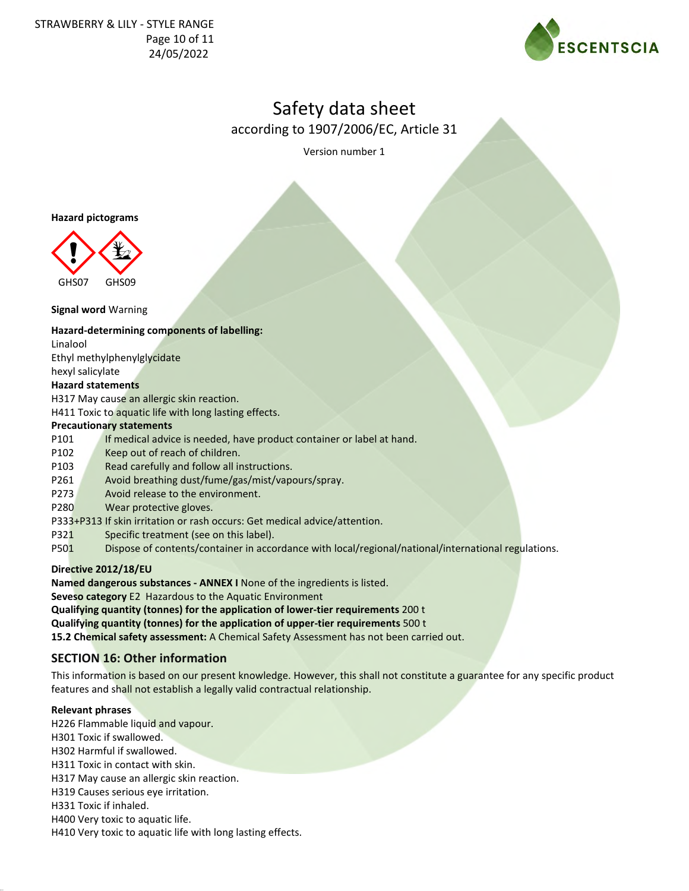STRAWBERRY & LILY - STYLE RANGE Page 10 of 11 24/05/2022



# Safety data sheet

according to 1907/2006/EC, Article 31

Version number 1

#### **Hazard pictograms**



#### **Signal word** Warning

#### **Hazard-determining components of labelling:**

Linalool

Ethyl methylphenylglycidate

hexyl salicylate

#### **Hazard statements**

H317 May cause an allergic skin reaction.

H411 Toxic to aquatic life with long lasting effects.

### **Precautionary statements**

P101 If medical advice is needed, have product container or label at hand.

- P102 Keep out of reach of children.
- P103 Read carefully and follow all instructions.
- P261 Avoid breathing dust/fume/gas/mist/vapours/spray.
- P273 Avoid release to the environment.
- P280 Wear protective gloves.
- P333+P313 If skin irritation or rash occurs: Get medical advice/attention.
- P321 Specific treatment (see on this label).
- P501 Dispose of contents/container in accordance with local/regional/national/international regulations.

### **Directive 2012/18/EU**

**Named dangerous substances - ANNEX I** None of the ingredients is listed.

**Seveso category** E2 Hazardous to the Aquatic Environment

**Qualifying quantity (tonnes) for the application of lower-tier requirements** 200 t

**Qualifying quantity (tonnes) for the application of upper-tier requirements** 500 t

**15.2 Chemical safety assessment:** A Chemical Safety Assessment has not been carried out.

# **SECTION 16: Other information**

This information is based on our present knowledge. However, this shall not constitute a guarantee for any specific product features and shall not establish a legally valid contractual relationship.

### **Relevant phrases**

- H226 Flammable liquid and vapour.
- H301 Toxic if swallowed.
- H302 Harmful if swallowed.
- H311 Toxic in contact with skin.
- H317 May cause an allergic skin reaction.
- H319 Causes serious eye irritation.
- H331 Toxic if inhaled.
- H400 Very toxic to aquatic life.
- H410 Very toxic to aquatic life with long lasting effects.